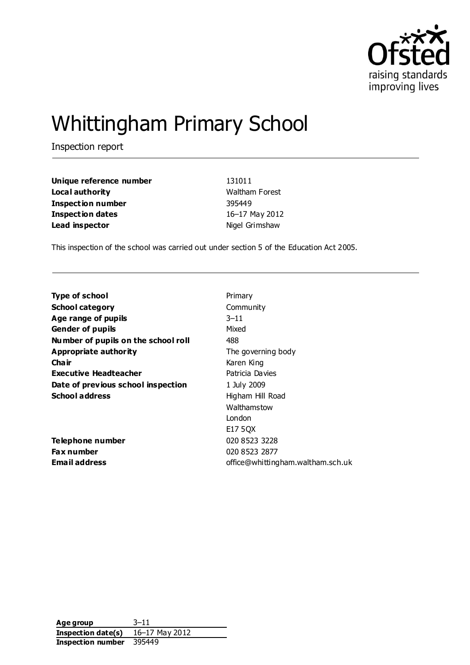

# Whittingham Primary School

Inspection report

| Unique reference number | 131011                |
|-------------------------|-----------------------|
| Local authority         | <b>Waltham Forest</b> |
| Inspection number       | 395449                |
| Inspection dates        | 16-17 May 2012        |
| Lead inspector          | Nigel Grimshaw        |

This inspection of the school was carried out under section 5 of the Education Act 2005.

| <b>Type of school</b>               | Primary                           |
|-------------------------------------|-----------------------------------|
| <b>School category</b>              | Community                         |
| Age range of pupils                 | $3 - 11$                          |
| <b>Gender of pupils</b>             | Mixed                             |
| Number of pupils on the school roll | 488                               |
| Appropriate authority               | The governing body                |
| Cha ir                              | Karen King                        |
| <b>Executive Headteacher</b>        | Patricia Davies                   |
| Date of previous school inspection  | 1 July 2009                       |
| <b>School address</b>               | Higham Hill Road                  |
|                                     | Walthamstow                       |
|                                     | London                            |
|                                     | E17 50X                           |
| Telephone number                    | 020 8523 3228                     |
| <b>Fax number</b>                   | 020 8523 2877                     |
| <b>Email address</b>                | office@whittingham.waltham.sch.uk |

**Age group** 3–11 **Inspection date(s)** 16–17 May 2012 **Inspection number** 395449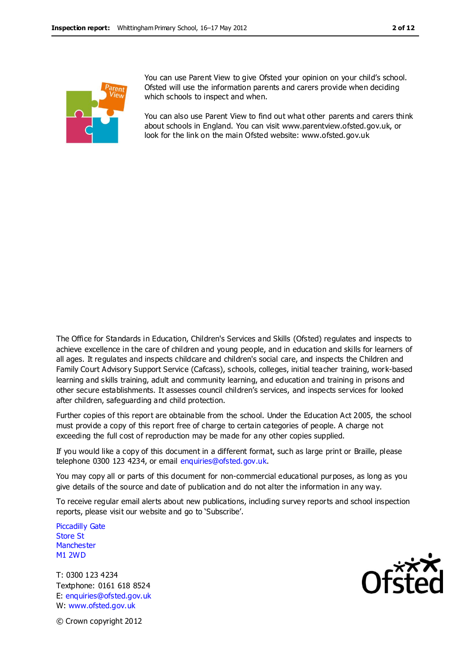

You can use Parent View to give Ofsted your opinion on your child's school. Ofsted will use the information parents and carers provide when deciding which schools to inspect and when.

You can also use Parent View to find out what other parents and carers think about schools in England. You can visit www.parentview.ofsted.gov.uk, or look for the link on the main Ofsted website: www.ofsted.gov.uk

The Office for Standards in Education, Children's Services and Skills (Ofsted) regulates and inspects to achieve excellence in the care of children and young people, and in education and skills for learners of all ages. It regulates and inspects childcare and children's social care, and inspects the Children and Family Court Advisory Support Service (Cafcass), schools, colleges, initial teacher training, work-based learning and skills training, adult and community learning, and education and training in prisons and other secure establishments. It assesses council children's services, and inspects services for looked after children, safeguarding and child protection.

Further copies of this report are obtainable from the school. Under the Education Act 2005, the school must provide a copy of this report free of charge to certain categories of people. A charge not exceeding the full cost of reproduction may be made for any other copies supplied.

If you would like a copy of this document in a different format, such as large print or Braille, please telephone 0300 123 4234, or email enquiries@ofsted.gov.uk.

You may copy all or parts of this document for non-commercial educational purposes, as long as you give details of the source and date of publication and do not alter the information in any way.

To receive regular email alerts about new publications, including survey reports and school inspection reports, please visit our website and go to 'Subscribe'.

Piccadilly Gate Store St **Manchester** M1 2WD

T: 0300 123 4234 Textphone: 0161 618 8524 E: enquiries@ofsted.gov.uk W: www.ofsted.gov.uk



© Crown copyright 2012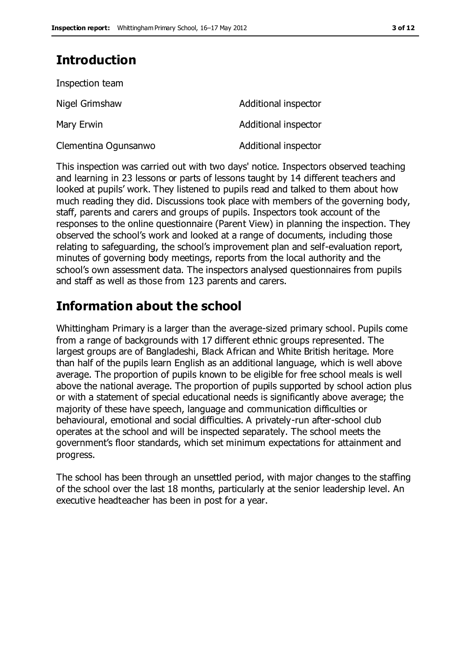# **Introduction**

| Inspection team      |                      |
|----------------------|----------------------|
| Nigel Grimshaw       | Additional inspector |
| Mary Erwin           | Additional inspector |
| Clementina Ogunsanwo | Additional inspector |

This inspection was carried out with two days' notice. Inspectors observed teaching and learning in 23 lessons or parts of lessons taught by 14 different teachers and looked at pupils' work. They listened to pupils read and talked to them about how much reading they did. Discussions took place with members of the governing body, staff, parents and carers and groups of pupils. Inspectors took account of the responses to the online questionnaire (Parent View) in planning the inspection. They observed the school's work and looked at a range of documents, including those relating to safeguarding, the school's improvement plan and self-evaluation report, minutes of governing body meetings, reports from the local authority and the school's own assessment data. The inspectors analysed questionnaires from pupils and staff as well as those from 123 parents and carers.

# **Information about the school**

Whittingham Primary is a larger than the average-sized primary school. Pupils come from a range of backgrounds with 17 different ethnic groups represented. The largest groups are of Bangladeshi, Black African and White British heritage. More than half of the pupils learn English as an additional language, which is well above average. The proportion of pupils known to be eligible for free school meals is well above the national average. The proportion of pupils supported by school action plus or with a statement of special educational needs is significantly above average; the majority of these have speech, language and communication difficulties or behavioural, emotional and social difficulties. A privately-run after-school club operates at the school and will be inspected separately. The school meets the government's floor standards, which set minimum expectations for attainment and progress.

The school has been through an unsettled period, with major changes to the staffing of the school over the last 18 months, particularly at the senior leadership level. An executive headteacher has been in post for a year.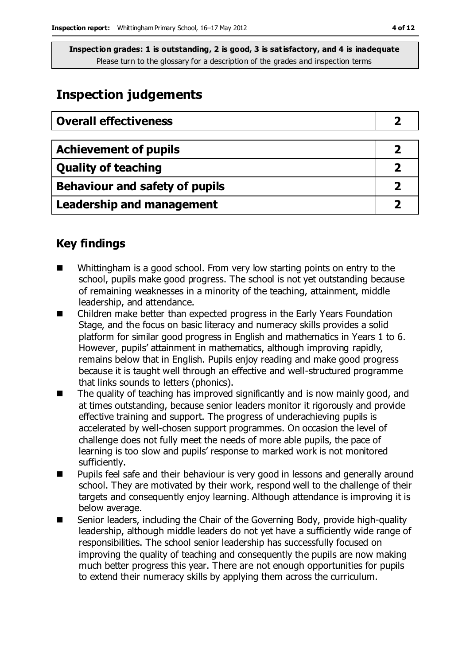# **Inspection judgements**

| <b>Overall effectiveness</b>     |  |
|----------------------------------|--|
|                                  |  |
| <b>Achievement of pupils</b>     |  |
| <b>Quality of teaching</b>       |  |
| Behaviour and safety of pupils   |  |
| <b>Leadership and management</b> |  |

## **Key findings**

- Whittingham is a good school. From very low starting points on entry to the school, pupils make good progress. The school is not yet outstanding because of remaining weaknesses in a minority of the teaching, attainment, middle leadership, and attendance.
- Children make better than expected progress in the Early Years Foundation Stage, and the focus on basic literacy and numeracy skills provides a solid platform for similar good progress in English and mathematics in Years 1 to 6. However, pupils' attainment in mathematics, although improving rapidly, remains below that in English. Pupils enjoy reading and make good progress because it is taught well through an effective and well-structured programme that links sounds to letters (phonics).
- The quality of teaching has improved significantly and is now mainly good, and at times outstanding, because senior leaders monitor it rigorously and provide effective training and support. The progress of underachieving pupils is accelerated by well-chosen support programmes. On occasion the level of challenge does not fully meet the needs of more able pupils, the pace of learning is too slow and pupils' response to marked work is not monitored sufficiently.
- **Pupils feel safe and their behaviour is very good in lessons and generally around** school. They are motivated by their work, respond well to the challenge of their targets and consequently enjoy learning. Although attendance is improving it is below average.
- Senior leaders, including the Chair of the Governing Body, provide high-quality leadership, although middle leaders do not yet have a sufficiently wide range of responsibilities. The school senior leadership has successfully focused on improving the quality of teaching and consequently the pupils are now making much better progress this year. There are not enough opportunities for pupils to extend their numeracy skills by applying them across the curriculum.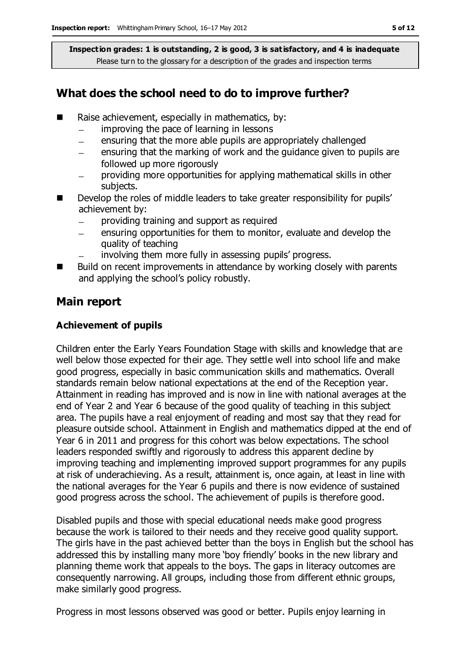## **What does the school need to do to improve further?**

- Raise achievement, especially in mathematics, by:
	- improving the pace of learning in lessons  $\equiv$
	- ensuring that the more able pupils are appropriately challenged  $\equiv$
	- ensuring that the marking of work and the guidance given to pupils are  $\equiv$ followed up more rigorously
	- providing more opportunities for applying mathematical skills in other subjects.
- Develop the roles of middle leaders to take greater responsibility for pupils' achievement by:
	- providing training and support as required
	- ensuring opportunities for them to monitor, evaluate and develop the quality of teaching
	- involving them more fully in assessing pupils' progress.
- Build on recent improvements in attendance by working closely with parents and applying the school's policy robustly.

### **Main report**

#### **Achievement of pupils**

Children enter the Early Years Foundation Stage with skills and knowledge that are well below those expected for their age. They settle well into school life and make good progress, especially in basic communication skills and mathematics. Overall standards remain below national expectations at the end of the Reception year. Attainment in reading has improved and is now in line with national averages at the end of Year 2 and Year 6 because of the good quality of teaching in this subject area. The pupils have a real enjoyment of reading and most say that they read for pleasure outside school. Attainment in English and mathematics dipped at the end of Year 6 in 2011 and progress for this cohort was below expectations. The school leaders responded swiftly and rigorously to address this apparent decline by improving teaching and implementing improved support programmes for any pupils at risk of underachieving. As a result, attainment is, once again, at least in line with the national averages for the Year 6 pupils and there is now evidence of sustained good progress across the school. The achievement of pupils is therefore good.

Disabled pupils and those with special educational needs make good progress because the work is tailored to their needs and they receive good quality support. The girls have in the past achieved better than the boys in English but the school has addressed this by installing many more 'boy friendly' books in the new library and planning theme work that appeals to the boys. The gaps in literacy outcomes are consequently narrowing. All groups, including those from different ethnic groups, make similarly good progress.

Progress in most lessons observed was good or better. Pupils enjoy learning in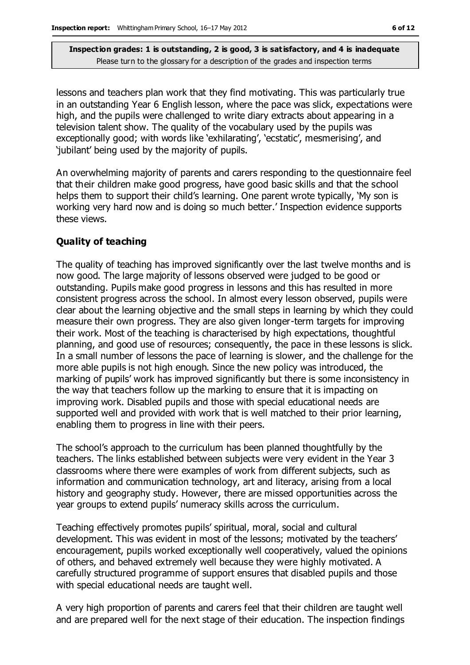lessons and teachers plan work that they find motivating. This was particularly true in an outstanding Year 6 English lesson, where the pace was slick, expectations were high, and the pupils were challenged to write diary extracts about appearing in a television talent show. The quality of the vocabulary used by the pupils was exceptionally good; with words like 'exhilarating', 'ecstatic', mesmerising', and 'jubilant' being used by the majority of pupils.

An overwhelming majority of parents and carers responding to the questionnaire feel that their children make good progress, have good basic skills and that the school helps them to support their child's learning. One parent wrote typically, 'My son is working very hard now and is doing so much better.' Inspection evidence supports these views.

#### **Quality of teaching**

The quality of teaching has improved significantly over the last twelve months and is now good. The large majority of lessons observed were judged to be good or outstanding. Pupils make good progress in lessons and this has resulted in more consistent progress across the school. In almost every lesson observed, pupils were clear about the learning objective and the small steps in learning by which they could measure their own progress. They are also given longer-term targets for improving their work. Most of the teaching is characterised by high expectations, thoughtful planning, and good use of resources; consequently, the pace in these lessons is slick. In a small number of lessons the pace of learning is slower, and the challenge for the more able pupils is not high enough. Since the new policy was introduced, the marking of pupils' work has improved significantly but there is some inconsistency in the way that teachers follow up the marking to ensure that it is impacting on improving work. Disabled pupils and those with special educational needs are supported well and provided with work that is well matched to their prior learning, enabling them to progress in line with their peers.

The school's approach to the curriculum has been planned thoughtfully by the teachers. The links established between subjects were very evident in the Year 3 classrooms where there were examples of work from different subjects, such as information and communication technology, art and literacy, arising from a local history and geography study. However, there are missed opportunities across the year groups to extend pupils' numeracy skills across the curriculum.

Teaching effectively promotes pupils' spiritual, moral, social and cultural development. This was evident in most of the lessons; motivated by the teachers' encouragement, pupils worked exceptionally well cooperatively, valued the opinions of others, and behaved extremely well because they were highly motivated. A carefully structured programme of support ensures that disabled pupils and those with special educational needs are taught well.

A very high proportion of parents and carers feel that their children are taught well and are prepared well for the next stage of their education. The inspection findings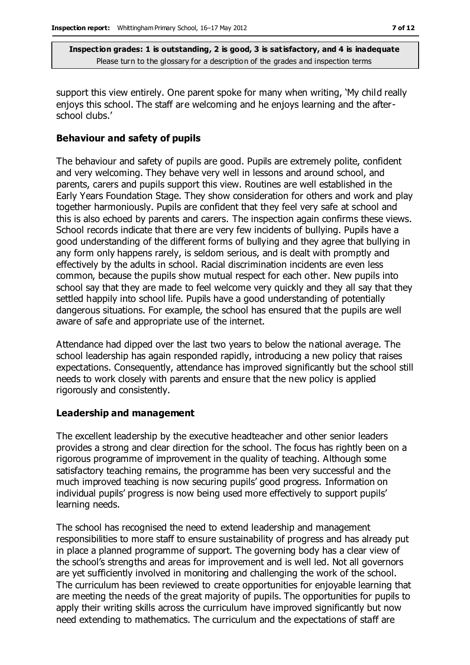support this view entirely. One parent spoke for many when writing, 'My child really enjoys this school. The staff are welcoming and he enjoys learning and the afterschool clubs.'

#### **Behaviour and safety of pupils**

The behaviour and safety of pupils are good. Pupils are extremely polite, confident and very welcoming. They behave very well in lessons and around school, and parents, carers and pupils support this view. Routines are well established in the Early Years Foundation Stage. They show consideration for others and work and play together harmoniously. Pupils are confident that they feel very safe at school and this is also echoed by parents and carers. The inspection again confirms these views. School records indicate that there are very few incidents of bullying. Pupils have a good understanding of the different forms of bullying and they agree that bullying in any form only happens rarely, is seldom serious, and is dealt with promptly and effectively by the adults in school. Racial discrimination incidents are even less common, because the pupils show mutual respect for each other. New pupils into school say that they are made to feel welcome very quickly and they all say that they settled happily into school life. Pupils have a good understanding of potentially dangerous situations. For example, the school has ensured that the pupils are well aware of safe and appropriate use of the internet.

Attendance had dipped over the last two years to below the national average. The school leadership has again responded rapidly, introducing a new policy that raises expectations. Consequently, attendance has improved significantly but the school still needs to work closely with parents and ensure that the new policy is applied rigorously and consistently.

#### **Leadership and management**

The excellent leadership by the executive headteacher and other senior leaders provides a strong and clear direction for the school. The focus has rightly been on a rigorous programme of improvement in the quality of teaching. Although some satisfactory teaching remains, the programme has been very successful and the much improved teaching is now securing pupils' good progress. Information on individual pupils' progress is now being used more effectively to support pupils' learning needs.

The school has recognised the need to extend leadership and management responsibilities to more staff to ensure sustainability of progress and has already put in place a planned programme of support. The governing body has a clear view of the school's strengths and areas for improvement and is well led. Not all governors are yet sufficiently involved in monitoring and challenging the work of the school. The curriculum has been reviewed to create opportunities for enjoyable learning that are meeting the needs of the great majority of pupils. The opportunities for pupils to apply their writing skills across the curriculum have improved significantly but now need extending to mathematics. The curriculum and the expectations of staff are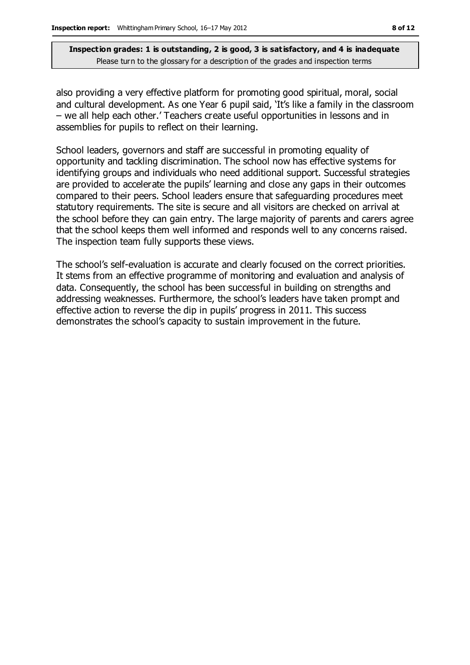also providing a very effective platform for promoting good spiritual, moral, social and cultural development. As one Year 6 pupil said, 'It's like a family in the classroom – we all help each other.' Teachers create useful opportunities in lessons and in assemblies for pupils to reflect on their learning.

School leaders, governors and staff are successful in promoting equality of opportunity and tackling discrimination. The school now has effective systems for identifying groups and individuals who need additional support. Successful strategies are provided to accelerate the pupils' learning and close any gaps in their outcomes compared to their peers. School leaders ensure that safeguarding procedures meet statutory requirements. The site is secure and all visitors are checked on arrival at the school before they can gain entry. The large majority of parents and carers agree that the school keeps them well informed and responds well to any concerns raised. The inspection team fully supports these views.

The school's self-evaluation is accurate and clearly focused on the correct priorities. It stems from an effective programme of monitoring and evaluation and analysis of data. Consequently, the school has been successful in building on strengths and addressing weaknesses. Furthermore, the school's leaders have taken prompt and effective action to reverse the dip in pupils' progress in 2011. This success demonstrates the school's capacity to sustain improvement in the future.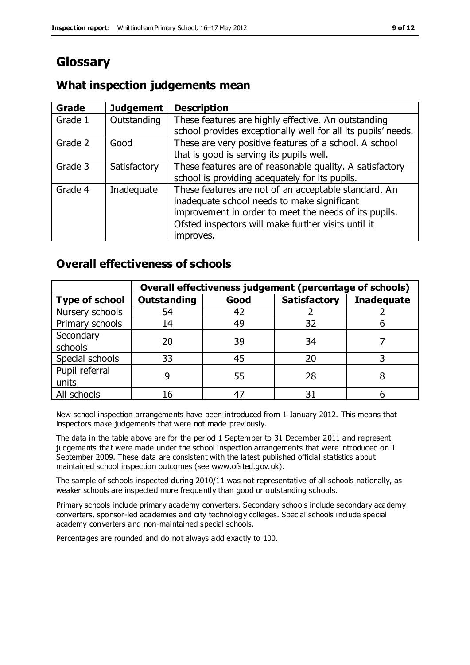# **Glossary**

#### **Grade Judgement Description** Grade  $1$  | Outstanding | These features are highly effective. An outstanding school provides exceptionally well for all its pupils' needs. Grade 2 Good These are very positive features of a school. A school that is good is serving its pupils well. Grade 3  $\parallel$  Satisfactory  $\parallel$  These features are of reasonable quality. A satisfactory school is providing adequately for its pupils. Grade 4  $\parallel$  Inadequate  $\parallel$  These features are not of an acceptable standard. An inadequate school needs to make significant improvement in order to meet the needs of its pupils. Ofsted inspectors will make further visits until it improves.

## **What inspection judgements mean**

## **Overall effectiveness of schools**

|                       | Overall effectiveness judgement (percentage of schools) |      |                     |                   |
|-----------------------|---------------------------------------------------------|------|---------------------|-------------------|
| <b>Type of school</b> | <b>Outstanding</b>                                      | Good | <b>Satisfactory</b> | <b>Inadequate</b> |
| Nursery schools       | 54                                                      | 42   |                     |                   |
| Primary schools       | 14                                                      | 49   | 32                  |                   |
| Secondary             | 20                                                      | 39   | 34                  |                   |
| schools               |                                                         |      |                     |                   |
| Special schools       | 33                                                      | 45   | 20                  |                   |
| Pupil referral        | q                                                       | 55   | 28                  |                   |
| units                 |                                                         |      |                     |                   |
| All schools           | 16                                                      | 47   | م -                 |                   |

New school inspection arrangements have been introduced from 1 January 2012. This means that inspectors make judgements that were not made previously.

The data in the table above are for the period 1 September to 31 December 2011 and represent judgements that were made under the school inspection arrangements that were introduced on 1 September 2009. These data are consistent with the latest published official statistics about maintained school inspection outcomes (see www.ofsted.gov.uk).

The sample of schools inspected during 2010/11 was not representative of all schools nationally, as weaker schools are inspected more frequently than good or outstanding schools.

Primary schools include primary academy converters. Secondary schools include secondary academy converters, sponsor-led academies and city technology colleges. Special schools include special academy converters and non-maintained special schools.

Percentages are rounded and do not always add exactly to 100.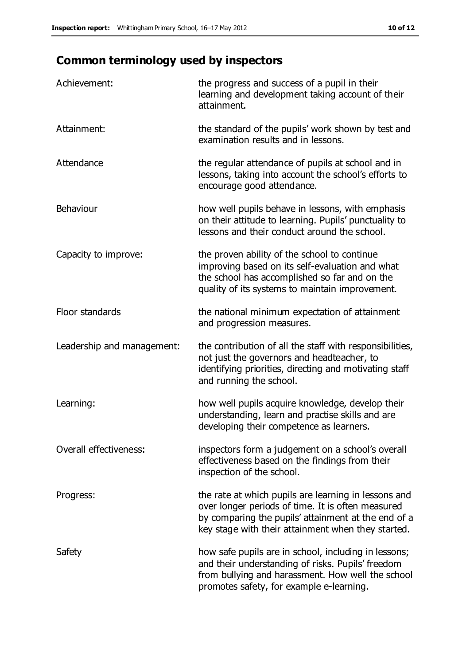# **Common terminology used by inspectors**

| Achievement:                  | the progress and success of a pupil in their<br>learning and development taking account of their<br>attainment.                                                                                                        |
|-------------------------------|------------------------------------------------------------------------------------------------------------------------------------------------------------------------------------------------------------------------|
| Attainment:                   | the standard of the pupils' work shown by test and<br>examination results and in lessons.                                                                                                                              |
| Attendance                    | the regular attendance of pupils at school and in<br>lessons, taking into account the school's efforts to<br>encourage good attendance.                                                                                |
| Behaviour                     | how well pupils behave in lessons, with emphasis<br>on their attitude to learning. Pupils' punctuality to<br>lessons and their conduct around the school.                                                              |
| Capacity to improve:          | the proven ability of the school to continue<br>improving based on its self-evaluation and what<br>the school has accomplished so far and on the<br>quality of its systems to maintain improvement.                    |
| Floor standards               | the national minimum expectation of attainment<br>and progression measures.                                                                                                                                            |
| Leadership and management:    | the contribution of all the staff with responsibilities,<br>not just the governors and headteacher, to<br>identifying priorities, directing and motivating staff<br>and running the school.                            |
| Learning:                     | how well pupils acquire knowledge, develop their<br>understanding, learn and practise skills and are<br>developing their competence as learners.                                                                       |
| <b>Overall effectiveness:</b> | inspectors form a judgement on a school's overall<br>effectiveness based on the findings from their<br>inspection of the school.                                                                                       |
| Progress:                     | the rate at which pupils are learning in lessons and<br>over longer periods of time. It is often measured<br>by comparing the pupils' attainment at the end of a<br>key stage with their attainment when they started. |
| Safety                        | how safe pupils are in school, including in lessons;<br>and their understanding of risks. Pupils' freedom<br>from bullying and harassment. How well the school<br>promotes safety, for example e-learning.             |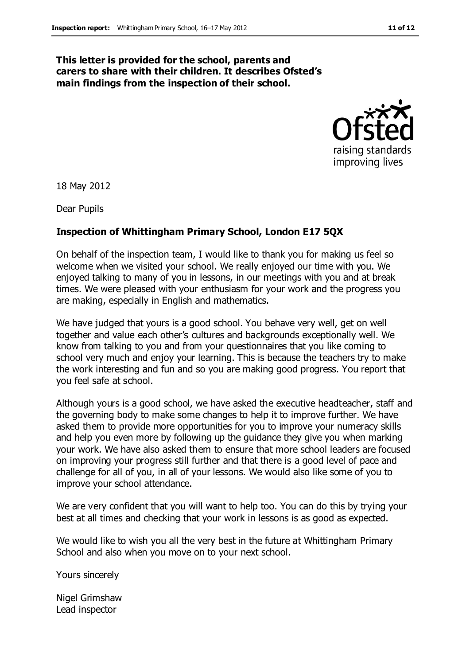#### **This letter is provided for the school, parents and carers to share with their children. It describes Ofsted's main findings from the inspection of their school.**



18 May 2012

Dear Pupils

#### **Inspection of Whittingham Primary School, London E17 5QX**

On behalf of the inspection team, I would like to thank you for making us feel so welcome when we visited your school. We really enjoyed our time with you. We enjoyed talking to many of you in lessons, in our meetings with you and at break times. We were pleased with your enthusiasm for your work and the progress you are making, especially in English and mathematics.

We have judged that yours is a good school. You behave very well, get on well together and value each other's cultures and backgrounds exceptionally well. We know from talking to you and from your questionnaires that you like coming to school very much and enjoy your learning. This is because the teachers try to make the work interesting and fun and so you are making good progress. You report that you feel safe at school.

Although yours is a good school, we have asked the executive headteacher, staff and the governing body to make some changes to help it to improve further. We have asked them to provide more opportunities for you to improve your numeracy skills and help you even more by following up the guidance they give you when marking your work. We have also asked them to ensure that more school leaders are focused on improving your progress still further and that there is a good level of pace and challenge for all of you, in all of your lessons. We would also like some of you to improve your school attendance.

We are very confident that you will want to help too. You can do this by trying your best at all times and checking that your work in lessons is as good as expected.

We would like to wish you all the very best in the future at Whittingham Primary School and also when you move on to your next school.

Yours sincerely

Nigel Grimshaw Lead inspector